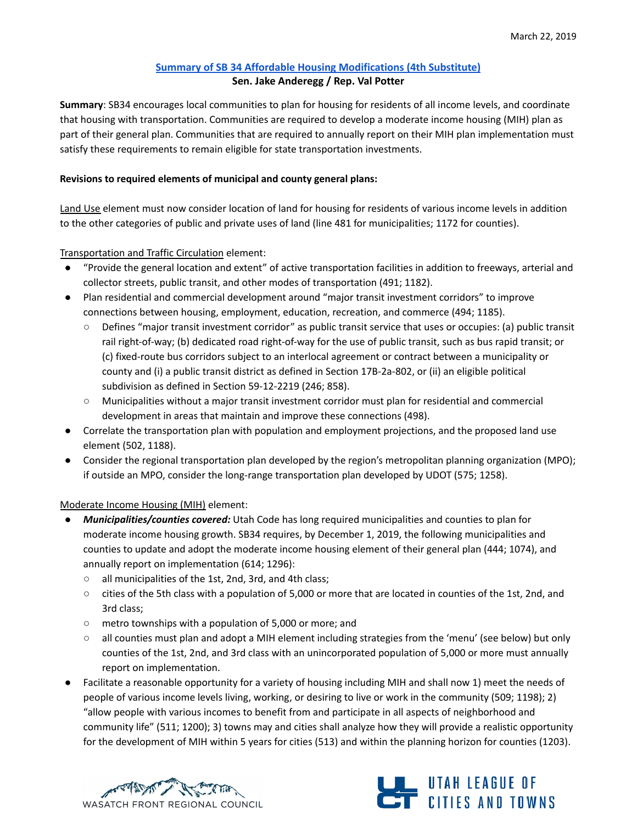## **Summary of SB 34 Affordable Housing [Modifications](https://le.utah.gov/~2019/bills/static/SB0034.html) (4th Substitute) Sen. Jake Anderegg / Rep. Val Potter**

**Summary**: SB34 encourages local communities to plan for housing for residents of all income levels, and coordinate that housing with transportation. Communities are required to develop a moderate income housing (MIH) plan as part of their general plan. Communities that are required to annually report on their MIH plan implementation must satisfy these requirements to remain eligible for state transportation investments.

## **Revisions to required elements of municipal and county general plans:**

Land Use element must now consider location of land for housing for residents of various income levels in addition to the other categories of public and private uses of land (line 481 for municipalities; 1172 for counties).

Transportation and Traffic Circulation element:

- "Provide the general location and extent" of active transportation facilities in addition to freeways, arterial and collector streets, public transit, and other modes of transportation (491; 1182).
- Plan residential and commercial development around "major transit investment corridors" to improve connections between housing, employment, education, recreation, and commerce (494; 1185).
	- Defines "major transit investment corridor" as public transit service that uses or occupies: (a) public transit rail right-of-way; (b) dedicated road right-of-way for the use of public transit, such as bus rapid transit; or (c) fixed-route bus corridors subject to an interlocal agreement or contract between a municipality or county and (i) a public transit district as defined in Section 17B-2a-802, or (ii) an eligible political subdivision as defined in Section 59-12-2219 (246; 858).
	- Municipalities without a major transit investment corridor must plan for residential and commercial development in areas that maintain and improve these connections (498).
- Correlate the transportation plan with population and employment projections, and the proposed land use element (502, 1188).
- Consider the regional transportation plan developed by the region's metropolitan planning organization (MPO); if outside an MPO, consider the long-range transportation plan developed by UDOT (575; 1258).

## Moderate Income Housing (MIH) element:

- *Municipalities/counties covered:* Utah Code has long required municipalities and counties to plan for moderate income housing growth. SB34 requires, by December 1, 2019, the following municipalities and counties to update and adopt the moderate income housing element of their general plan (444; 1074), and annually report on implementation (614; 1296):
	- all municipalities of the 1st, 2nd, 3rd, and 4th class;
	- cities of the 5th class with a population of 5,000 or more that are located in counties of the 1st, 2nd, and 3rd class;
	- metro townships with a population of 5,000 or more; and
	- all counties must plan and adopt a MIH element including strategies from the 'menu' (see below) but only counties of the 1st, 2nd, and 3rd class with an unincorporated population of 5,000 or more must annually report on implementation.
- Facilitate a reasonable opportunity for a variety of housing including MIH and shall now 1) meet the needs of people of various income levels living, working, or desiring to live or work in the community (509; 1198); 2) "allow people with various incomes to benefit from and participate in all aspects of neighborhood and community life" (511; 1200); 3) towns may and cities shall analyze how they will provide a realistic opportunity for the development of MIH within 5 years for cities (513) and within the planning horizon for counties (1203).



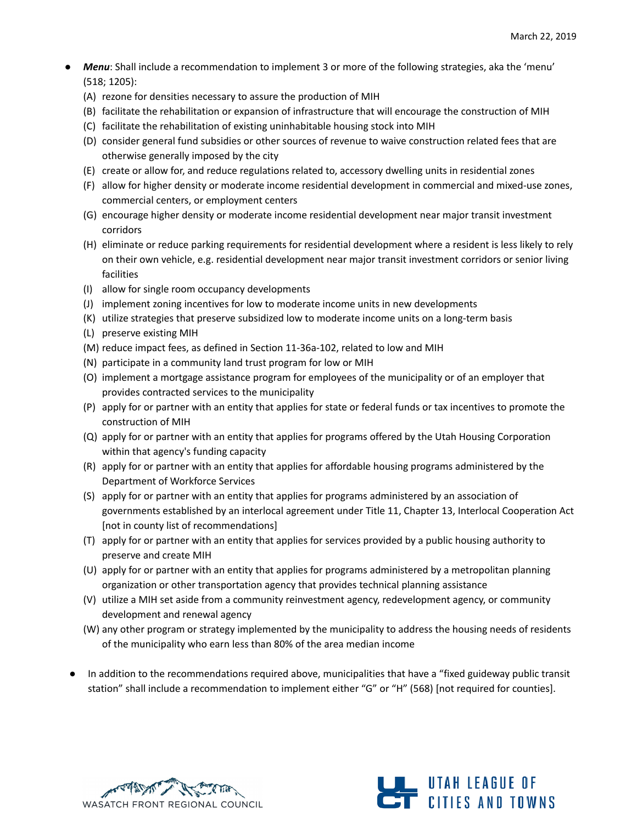- *Menu*: Shall include a recommendation to implement 3 or more of the following strategies, aka the 'menu' (518; 1205):
	- (A) rezone for densities necessary to assure the production of MIH
	- (B) facilitate the rehabilitation or expansion of infrastructure that will encourage the construction of MIH
	- (C) facilitate the rehabilitation of existing uninhabitable housing stock into MIH
	- (D) consider general fund subsidies or other sources of revenue to waive construction related fees that are otherwise generally imposed by the city
	- (E) create or allow for, and reduce regulations related to, accessory dwelling units in residential zones
	- (F) allow for higher density or moderate income residential development in commercial and mixed-use zones, commercial centers, or employment centers
	- (G) encourage higher density or moderate income residential development near major transit investment corridors
	- (H) eliminate or reduce parking requirements for residential development where a resident is less likely to rely on their own vehicle, e.g. residential development near major transit investment corridors or senior living facilities
	- (I) allow for single room occupancy developments
	- (J) implement zoning incentives for low to moderate income units in new developments
	- (K) utilize strategies that preserve subsidized low to moderate income units on a long-term basis
	- (L) preserve existing MIH
	- (M) reduce impact fees, as defined in Section 11-36a-102, related to low and MIH
	- (N) participate in a community land trust program for low or MIH
	- (O) implement a mortgage assistance program for employees of the municipality or of an employer that provides contracted services to the municipality
	- (P) apply for or partner with an entity that applies for state or federal funds or tax incentives to promote the construction of MIH
	- (Q) apply for or partner with an entity that applies for programs offered by the Utah Housing Corporation within that agency's funding capacity
	- (R) apply for or partner with an entity that applies for affordable housing programs administered by the Department of Workforce Services
	- (S) apply for or partner with an entity that applies for programs administered by an association of governments established by an interlocal agreement under Title 11, Chapter 13, Interlocal Cooperation Act [not in county list of recommendations]
	- (T) apply for or partner with an entity that applies for services provided by a public housing authority to preserve and create MIH
	- (U) apply for or partner with an entity that applies for programs administered by a metropolitan planning organization or other transportation agency that provides technical planning assistance
	- (V) utilize a MIH set aside from a community reinvestment agency, redevelopment agency, or community development and renewal agency
	- (W) any other program or strategy implemented by the municipality to address the housing needs of residents of the municipality who earn less than 80% of the area median income
- In addition to the recommendations required above, municipalities that have a "fixed guideway public transit station" shall include a recommendation to implement either "G" or "H" (568) [not required for counties].